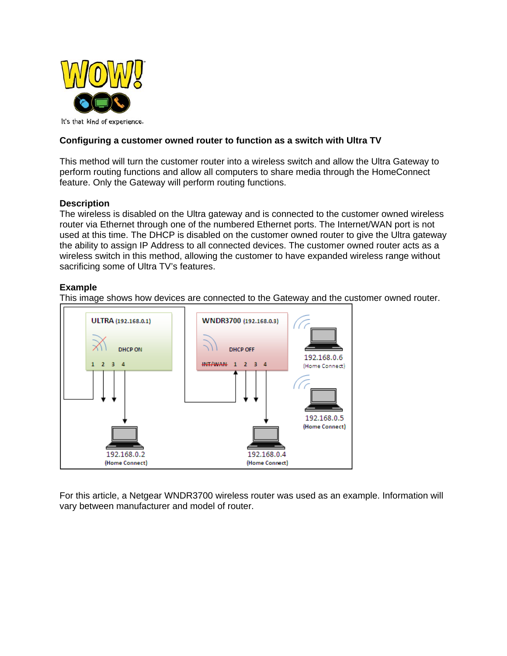

# **Configuring a customer owned router to function as a switch with Ultra TV**

This method will turn the customer router into a wireless switch and allow the Ultra Gateway to perform routing functions and allow all computers to share media through the HomeConnect feature. Only the Gateway will perform routing functions.

## **Description**

The wireless is disabled on the Ultra gateway and is connected to the customer owned wireless router via Ethernet through one of the numbered Ethernet ports. The Internet/WAN port is not used at this time. The DHCP is disabled on the customer owned router to give the Ultra gateway the ability to assign IP Address to all connected devices. The customer owned router acts as a wireless switch in this method, allowing the customer to have expanded wireless range without sacrificing some of Ultra TV's features.

### **Example**

This image shows how devices are connected to the Gateway and the customer owned router.



For this article, a Netgear WNDR3700 wireless router was used as an example. Information will vary between manufacturer and model of router.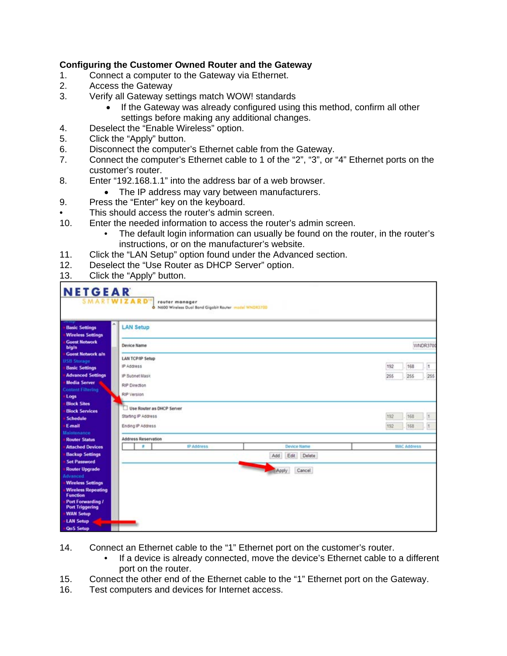# **Configuring the Customer Owned Router and the Gateway**

- 1. Connect a computer to the Gateway via Ethernet.
- 2. Access the Gateway<br>3. Verify all Gateway se
- Verify all Gateway settings match WOW! standards
	- If the Gateway was already configured using this method, confirm all other settings before making any additional changes.
- 4. Deselect the "Enable Wireless" option.
- 5. Click the "Apply" button.
- 6. Disconnect the computer's Ethernet cable from the Gateway.
- 7. Connect the computer's Ethernet cable to 1 of the "2", "3", or "4" Ethernet ports on the customer's router.
- 8. Enter "192.168.1.1" into the address bar of a web browser.
	- The IP address may vary between manufacturers.
- 9. Press the "Enter" key on the keyboard.
- This should access the router's admin screen.
- 10. Enter the needed information to access the router's admin screen.
	- The default login information can usually be found on the router, in the router's instructions, or on the manufacturer's website.
- 11. Click the "LAN Setup" option found under the Advanced section.
- 12. Deselect the "Use Router as DHCP Server" option.
- 13. Click the "Apply" button.

| <b>NETGEAR</b><br><b>SMARTWIZARD'</b>                  |                            |  | router manager<br>O N600 Wireless Dual Band Gigabit Router model WNDR3700 |       |                |     |     |                    |     |  |
|--------------------------------------------------------|----------------------------|--|---------------------------------------------------------------------------|-------|----------------|-----|-----|--------------------|-----|--|
| ñ<br><b>Basic Settings</b><br><b>Wireless Settings</b> | <b>LAN Setup</b>           |  |                                                                           |       |                |     |     |                    |     |  |
| <b>Guest Network</b><br>b/g/n                          | WNDR3700<br>Device Name    |  |                                                                           |       |                |     |     |                    |     |  |
| <b>Guest Network a/n</b><br><b>USB Storage</b>         | <b>LAN TCP/IP Setup</b>    |  |                                                                           |       |                |     |     |                    |     |  |
| <b>Basic Settings</b><br><b>Advanced Settings</b>      | IP Address                 |  |                                                                           |       |                |     | 192 | 168                | ls. |  |
| <b>Media Server</b>                                    | IP Subnet Mask             |  |                                                                           |       |                |     | 255 | 255                | 255 |  |
| <b>Content Filtering</b>                               | <b>RIP Direction</b>       |  |                                                                           |       |                |     |     |                    |     |  |
| - Logs                                                 | RIP Version                |  |                                                                           |       |                |     |     |                    |     |  |
| <b>Block Sites</b><br><b>Block Services</b>            | Use Router as DHCP Server  |  |                                                                           |       |                |     |     |                    |     |  |
| Schedule                                               | Starting IP Address        |  |                                                                           |       |                | 192 | 168 |                    |     |  |
| - E-mail                                               | Ending IP Address          |  |                                                                           |       | 192            | 168 |     |                    |     |  |
| Maintenance                                            | <b>Address Reservation</b> |  |                                                                           |       |                |     |     |                    |     |  |
| <b>Router Status</b><br><b>Attached Devices</b>        | ٠                          |  | IP Address                                                                |       | Device Name    |     |     | <b>MAC Address</b> |     |  |
| <b>Backup Settings</b>                                 |                            |  |                                                                           | Add   | Edit<br>Delete |     |     |                    |     |  |
| <b>Set Password</b>                                    |                            |  |                                                                           |       |                |     |     |                    |     |  |
| <b>Router Upgrade</b><br>Advanced                      |                            |  |                                                                           | Apply | Cancel         |     |     |                    |     |  |
| <b>Wireless Settings</b>                               |                            |  |                                                                           |       |                |     |     |                    |     |  |
| <b>Wireless Repeating</b>                              |                            |  |                                                                           |       |                |     |     |                    |     |  |
| <b>Function</b><br>Port Forwarding /                   |                            |  |                                                                           |       |                |     |     |                    |     |  |
| <b>Port Triggering</b>                                 |                            |  |                                                                           |       |                |     |     |                    |     |  |
| <b>WAN Setup</b><br><b>LAN Setup</b>                   |                            |  |                                                                           |       |                |     |     |                    |     |  |
| <b>QoS Setup</b>                                       |                            |  |                                                                           |       |                |     |     |                    |     |  |

- 14. Connect an Ethernet cable to the "1" Ethernet port on the customer's router.
	- If a device is already connected, move the device's Ethernet cable to a different port on the router.
- 15. Connect the other end of the Ethernet cable to the "1" Ethernet port on the Gateway.
- 16. Test computers and devices for Internet access.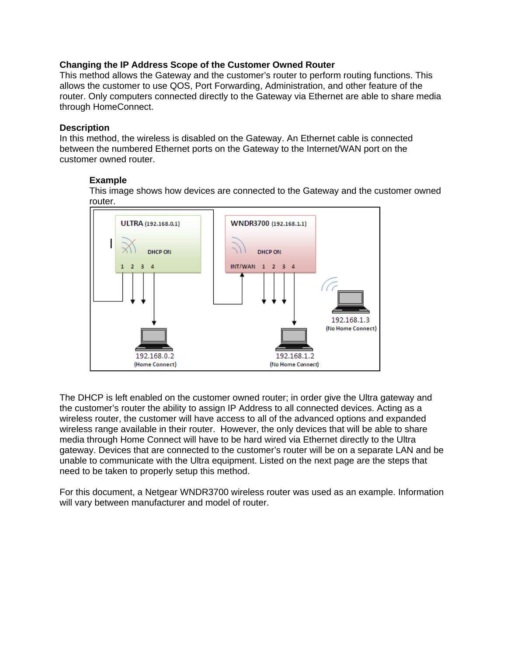### **Changing the IP Address Scope of the Customer Owned Router**

This method allows the Gateway and the customer's router to perform routing functions. This allows the customer to use QOS, Port Forwarding, Administration, and other feature of the router. Only computers connected directly to the Gateway via Ethernet are able to share media through HomeConnect.

#### **Description**

In this method, the wireless is disabled on the Gateway. An Ethernet cable is connected between the numbered Ethernet ports on the Gateway to the Internet/WAN port on the customer owned router.

### **Example**

This image shows how devices are connected to the Gateway and the customer owned router.



The DHCP is left enabled on the customer owned router; in order give the Ultra gateway and the customer's router the ability to assign IP Address to all connected devices. Acting as a wireless router, the customer will have access to all of the advanced options and expanded wireless range available in their router. However, the only devices that will be able to share media through Home Connect will have to be hard wired via Ethernet directly to the Ultra gateway. Devices that are connected to the customer's router will be on a separate LAN and be unable to communicate with the Ultra equipment. Listed on the next page are the steps that need to be taken to properly setup this method.

For this document, a Netgear WNDR3700 wireless router was used as an example. Information will vary between manufacturer and model of router.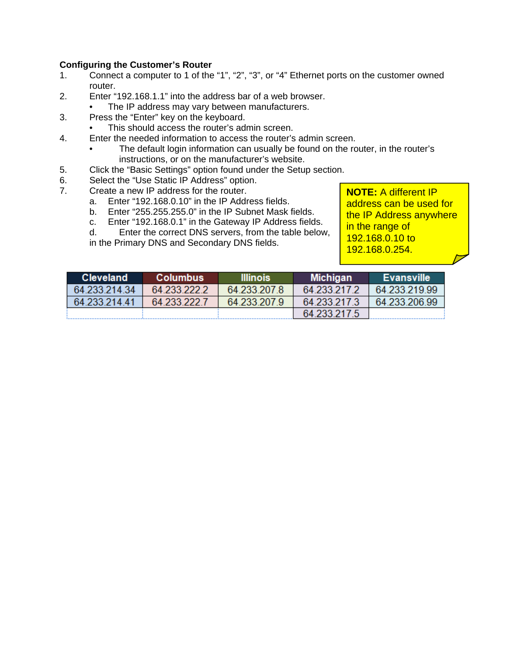## **Configuring the Customer's Router**

- 1. Connect a computer to 1 of the "1", "2", "3", or "4" Ethernet ports on the customer owned router.
- 2. Enter "192.168.1.1" into the address bar of a web browser.
	- The IP address may vary between manufacturers.
- 3. Press the "Enter" key on the keyboard.
	- This should access the router's admin screen.
- 4. Enter the needed information to access the router's admin screen.
	- The default login information can usually be found on the router, in the router's instructions, or on the manufacturer's website.
- 5. Click the "Basic Settings" option found under the Setup section.
- 6. Select the "Use Static IP Address" option.
- 7. Create a new IP address for the router.
	- a. Enter "192.168.0.10" in the IP Address fields.
	- b. Enter "255.255.255.0" in the IP Subnet Mask fields.
	- c. Enter "192.168.0.1" in the Gateway IP Address fields.

d. Enter the correct DNS servers, from the table below,

in the Primary DNS and Secondary DNS fields.

**NOTE:** A different IP address can be used for the IP Address anywhere in the range of 192.168.0.10 to 192.168.0.254.

| <b>Cleveland</b> | <b>Columbus</b> | <b>Illinois</b> | <b>Michigan</b> | <b>Evansville</b> |
|------------------|-----------------|-----------------|-----------------|-------------------|
| 64.233.214.34    | 64 233 222 2    | 64.233.207.8    | 64.233.217.2    | 64.233.219.99     |
| 64.233.214.41    | 64 233 222 7    | 64.233.207.9    | 64 233 217 3    | 64.233.206.99     |
|                  |                 |                 | 64.233.217.5    |                   |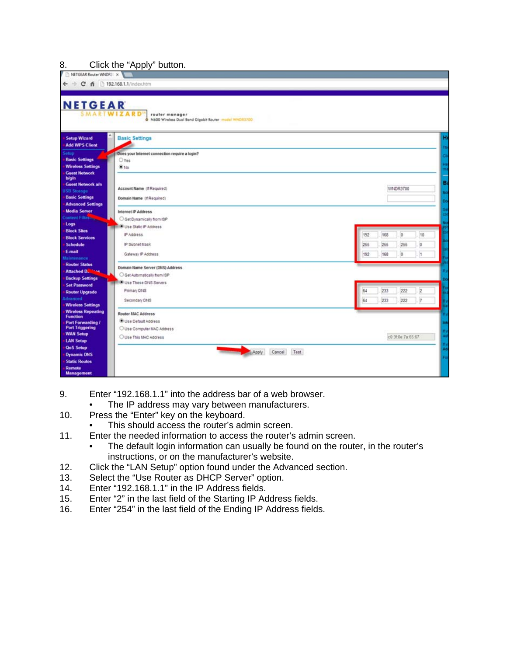## 8. Click the "Apply" button.

| <b>NETGEAR</b><br>WIZARD<br>router manager<br>N600 Wireless Dual Bond Gigabit Router model WNDR1700 |                                           |
|-----------------------------------------------------------------------------------------------------|-------------------------------------------|
| <b>Basic Settings</b>                                                                               |                                           |
| Does your Internet connection require a login?<br>Oyes<br>$\blacksquare$ No.                        |                                           |
| Account Name (if Required)<br>Domain Name (If Required)<br><b>Advanced Settings</b>                 | WNDR3700                                  |
| Internet IP Address<br>Get Dynamically from ISP<br>Use Static IP Address                            |                                           |
| IP Address<br>IP Subnet Mask                                                                        | o<br>192<br>168<br>255<br>255<br>265<br>o |
| Gateway IP Address<br>Domain Name Server (DNS) Address                                              | 192<br>168<br>O.<br>h                     |
| Get Automatically from ISP<br>Use These DNS Servers<br>Primary DNS                                  | 233<br>222<br>2<br>64                     |
| Secondary DNS<br><b>Wireless Repeating</b><br><b>Router MAC Address</b>                             | 233<br>64<br>222<br>$\overline{7}$        |
| Use Default Address<br>O Use Computer MAC Address                                                   |                                           |
| Use This MAC Address<br>Apply                                                                       | c0:3f:0e:7a.65:67<br>Cancel<br>Test       |

- 9. Enter "192.168.1.1" into the address bar of a web browser.
	- The IP address may vary between manufacturers.
- 10. Press the "Enter" key on the keyboard.
	- This should access the router's admin screen.
- 11. Enter the needed information to access the router's admin screen.
	- The default login information can usually be found on the router, in the router's instructions, or on the manufacturer's website.
- 12. Click the "LAN Setup" option found under the Advanced section.
- 13. Select the "Use Router as DHCP Server" option.
- 14. Enter "192.168.1.1" in the IP Address fields.
- 15. Enter "2" in the last field of the Starting IP Address fields.
- 16. Enter "254" in the last field of the Ending IP Address fields.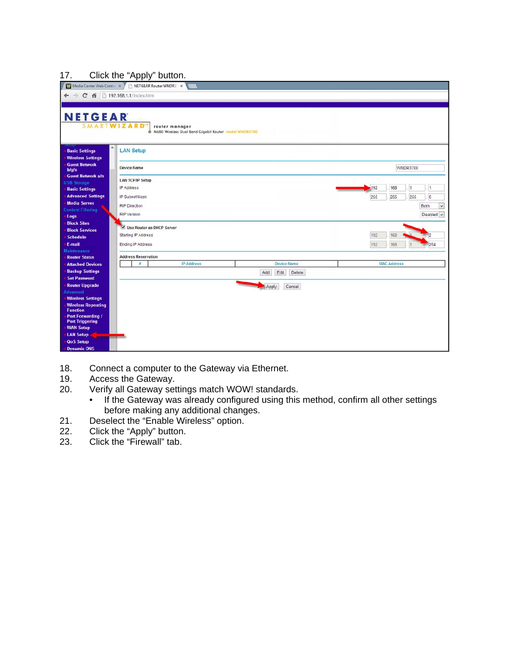#### 17. Click the "Apply" button.

| . .<br>╯<br>Media Center Web Control X<br>NETGEAR Router WNDR37 x |                                                                            |                                     |  |  |  |  |
|-------------------------------------------------------------------|----------------------------------------------------------------------------|-------------------------------------|--|--|--|--|
| ← → C 音 □ 192.168.1.1/index.htm                                   |                                                                            |                                     |  |  |  |  |
|                                                                   |                                                                            |                                     |  |  |  |  |
| <b>NETGEAR</b>                                                    |                                                                            |                                     |  |  |  |  |
|                                                                   | <b>TWIZARD"</b><br>router manager                                          |                                     |  |  |  |  |
|                                                                   | N600 Wireless Dual Band Gigabit Router model WNDR3700                      |                                     |  |  |  |  |
| $\wedge$<br><b>Basic Settings</b><br><b>Wireless Settings</b>     | <b>LAN Setup</b>                                                           |                                     |  |  |  |  |
| <b>Guest Network</b><br>b/q/n                                     | <b>Device Name</b>                                                         | WNDR3700                            |  |  |  |  |
| <b>Guest Network a/n</b><br><b>USB Storage</b>                    | <b>LAN TCP/IP Setup</b>                                                    |                                     |  |  |  |  |
| <b>Basic Settings</b>                                             | IP Address                                                                 | 168<br>192<br>l1<br>l1              |  |  |  |  |
| <b>Advanced Settings</b>                                          | IP Subnet Mask                                                             | 255<br>255<br>255<br>$\overline{0}$ |  |  |  |  |
| <b>Media Server</b><br><b>Content Filtering</b>                   | <b>RIP Direction</b>                                                       | Both<br>$\checkmark$                |  |  |  |  |
| Logs                                                              | <b>RIP Version</b>                                                         | Disabled v                          |  |  |  |  |
| <b>Block Sites</b>                                                | Use Router as DHCP Server                                                  |                                     |  |  |  |  |
| <b>Block Services</b><br><b>Schedule</b>                          | Starting IP Address                                                        | 192<br>168<br>$\frac{1}{2}$         |  |  |  |  |
| E-mail                                                            | Ending IP Address                                                          | 192<br>168<br>254                   |  |  |  |  |
| <b>Maintenance</b>                                                |                                                                            |                                     |  |  |  |  |
| <b>Router Status</b>                                              | <b>Address Reservation</b><br><b>IP Address</b><br><b>Device Name</b><br># | <b>MAC Address</b>                  |  |  |  |  |
| <b>Attached Devices</b><br><b>Backup Settings</b>                 |                                                                            |                                     |  |  |  |  |
| <b>Set Password</b>                                               | Add<br>Edit<br>Delete                                                      |                                     |  |  |  |  |
| <b>Router Upgrade</b>                                             | Cancel<br>Apply                                                            |                                     |  |  |  |  |
| <b>Advanced</b>                                                   |                                                                            |                                     |  |  |  |  |
| <b>Wireless Settings</b><br><b>Wireless Repeating</b>             |                                                                            |                                     |  |  |  |  |
| <b>Function</b>                                                   |                                                                            |                                     |  |  |  |  |
| <b>Port Forwarding /</b><br><b>Port Triggering</b>                |                                                                            |                                     |  |  |  |  |
| <b>WAN Setup</b>                                                  |                                                                            |                                     |  |  |  |  |
| <b>LAN Setup</b>                                                  |                                                                            |                                     |  |  |  |  |
| <b>QoS Setup</b>                                                  |                                                                            |                                     |  |  |  |  |
| <b>Dynamic DNS</b>                                                |                                                                            |                                     |  |  |  |  |

- 18. Connect a computer to the Gateway via Ethernet.
- 19. Access the Gateway.<br>20. Verify all Gateway set
- Verify all Gateway settings match WOW! standards.
	- If the Gateway was already configured using this method, confirm all other settings before making any additional changes.
- 21. Deselect the "Enable Wireless" option.
- 22. Click the "Apply" button.<br>23. Click the "Firewall" tab.
- Click the "Firewall" tab.